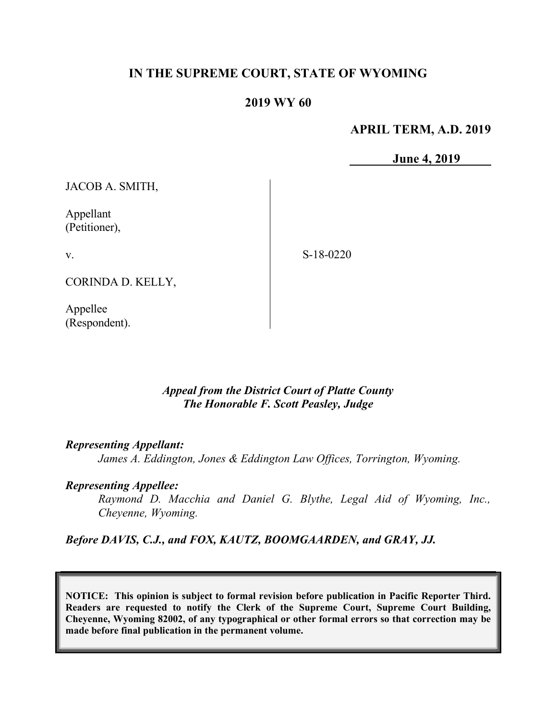# IN THE SUPREME COURT, STATE OF WYOMING

## 2019 WY 60

APRIL TERM, A.D. 2019

June 4, 2019

JACOB A. SMITH,

Appellant (Petitioner),

v.

S-18-0220

CORINDA D. KELLY,

Appellee (Respondent).

> Appeal from the District Court of Platte County The Honorable F. Scott Peasley, Judge

### Representing Appellant:

James A. Eddington, Jones & Eddington Law Offices, Torrington, Wyoming.

#### Representing Appellee:

Raymond D. Macchia and Daniel G. Blythe, Legal Aid of Wyoming, Inc., Cheyenne, Wyoming.

Before DAVIS, C.J., and FOX, KAUTZ, BOOMGAARDEN, and GRAY, JJ.

NOTICE: This opinion is subject to formal revision before publication in Pacific Reporter Third. Readers are requested to notify the Clerk of the Supreme Court, Supreme Court Building, Cheyenne, Wyoming 82002, of any typographical or other formal errors so that correction may be made before final publication in the permanent volume.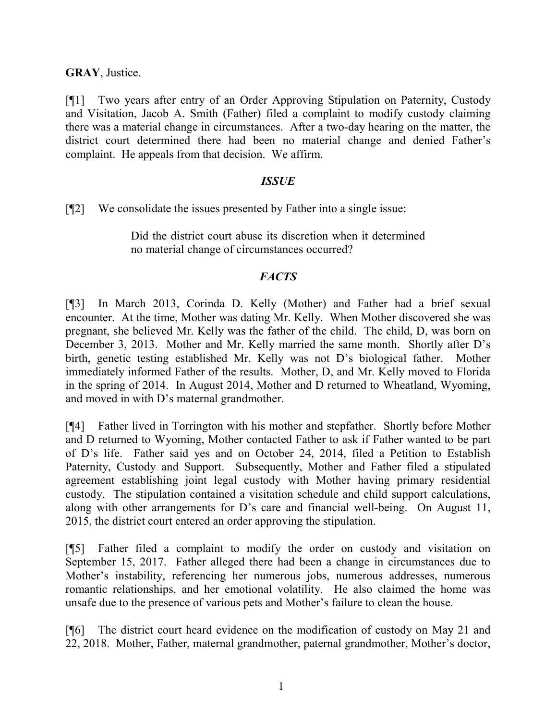GRAY, Justice.

[¶1] Two years after entry of an Order Approving Stipulation on Paternity, Custody and Visitation, Jacob A. Smith (Father) filed a complaint to modify custody claiming there was a material change in circumstances. After a two-day hearing on the matter, the district court determined there had been no material change and denied Father's complaint. He appeals from that decision. We affirm.

## **ISSUE**

[¶2] We consolidate the issues presented by Father into a single issue:

Did the district court abuse its discretion when it determined no material change of circumstances occurred?

## **FACTS**

[¶3] In March 2013, Corinda D. Kelly (Mother) and Father had a brief sexual encounter. At the time, Mother was dating Mr. Kelly. When Mother discovered she was pregnant, she believed Mr. Kelly was the father of the child. The child, D, was born on December 3, 2013. Mother and Mr. Kelly married the same month. Shortly after D's birth, genetic testing established Mr. Kelly was not D's biological father. Mother immediately informed Father of the results. Mother, D, and Mr. Kelly moved to Florida in the spring of 2014. In August 2014, Mother and D returned to Wheatland, Wyoming, and moved in with D's maternal grandmother.

[¶4] Father lived in Torrington with his mother and stepfather. Shortly before Mother and D returned to Wyoming, Mother contacted Father to ask if Father wanted to be part of D's life. Father said yes and on October 24, 2014, filed a Petition to Establish Paternity, Custody and Support. Subsequently, Mother and Father filed a stipulated agreement establishing joint legal custody with Mother having primary residential custody. The stipulation contained a visitation schedule and child support calculations, along with other arrangements for D's care and financial well-being. On August 11, 2015, the district court entered an order approving the stipulation.

[¶5] Father filed a complaint to modify the order on custody and visitation on September 15, 2017. Father alleged there had been a change in circumstances due to Mother's instability, referencing her numerous jobs, numerous addresses, numerous romantic relationships, and her emotional volatility. He also claimed the home was unsafe due to the presence of various pets and Mother's failure to clean the house.

[¶6] The district court heard evidence on the modification of custody on May 21 and 22, 2018. Mother, Father, maternal grandmother, paternal grandmother, Mother's doctor,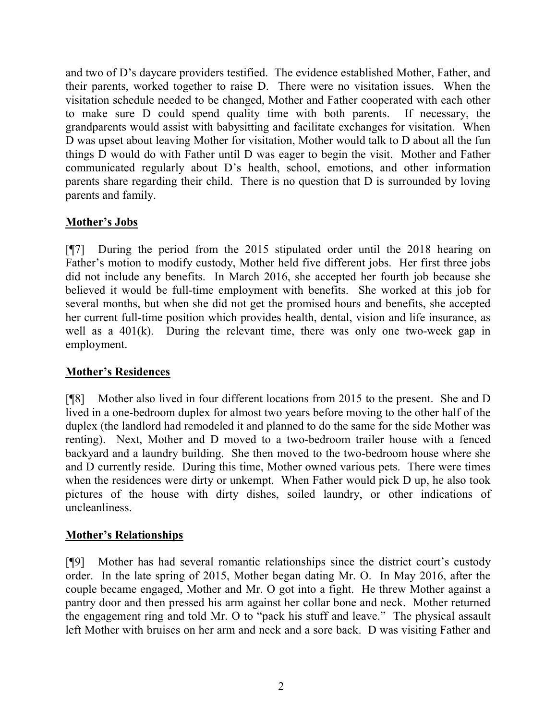and two of D's daycare providers testified. The evidence established Mother, Father, and their parents, worked together to raise D. There were no visitation issues. When the visitation schedule needed to be changed, Mother and Father cooperated with each other to make sure D could spend quality time with both parents. If necessary, the grandparents would assist with babysitting and facilitate exchanges for visitation. When D was upset about leaving Mother for visitation, Mother would talk to D about all the fun things D would do with Father until D was eager to begin the visit. Mother and Father communicated regularly about D's health, school, emotions, and other information parents share regarding their child. There is no question that D is surrounded by loving parents and family.

# Mother's Jobs

[¶7] During the period from the 2015 stipulated order until the 2018 hearing on Father's motion to modify custody, Mother held five different jobs. Her first three jobs did not include any benefits. In March 2016, she accepted her fourth job because she believed it would be full-time employment with benefits. She worked at this job for several months, but when she did not get the promised hours and benefits, she accepted her current full-time position which provides health, dental, vision and life insurance, as well as a 401(k). During the relevant time, there was only one two-week gap in employment.

## Mother's Residences

[¶8] Mother also lived in four different locations from 2015 to the present. She and D lived in a one-bedroom duplex for almost two years before moving to the other half of the duplex (the landlord had remodeled it and planned to do the same for the side Mother was renting). Next, Mother and D moved to a two-bedroom trailer house with a fenced backyard and a laundry building. She then moved to the two-bedroom house where she and D currently reside. During this time, Mother owned various pets. There were times when the residences were dirty or unkempt. When Father would pick D up, he also took pictures of the house with dirty dishes, soiled laundry, or other indications of uncleanliness.

## Mother's Relationships

[¶9] Mother has had several romantic relationships since the district court's custody order. In the late spring of 2015, Mother began dating Mr. O. In May 2016, after the couple became engaged, Mother and Mr. O got into a fight. He threw Mother against a pantry door and then pressed his arm against her collar bone and neck. Mother returned the engagement ring and told Mr. O to "pack his stuff and leave." The physical assault left Mother with bruises on her arm and neck and a sore back. D was visiting Father and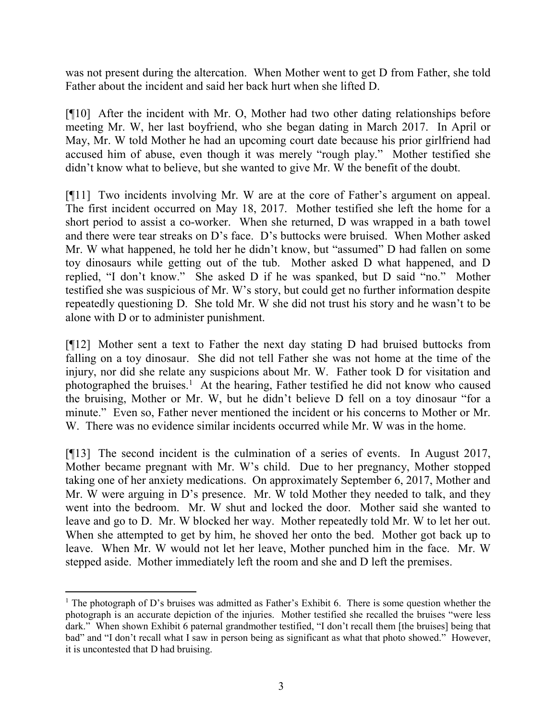was not present during the altercation. When Mother went to get D from Father, she told Father about the incident and said her back hurt when she lifted D.

[¶10] After the incident with Mr. O, Mother had two other dating relationships before meeting Mr. W, her last boyfriend, who she began dating in March 2017. In April or May, Mr. W told Mother he had an upcoming court date because his prior girlfriend had accused him of abuse, even though it was merely "rough play." Mother testified she didn't know what to believe, but she wanted to give Mr. W the benefit of the doubt.

[¶11] Two incidents involving Mr. W are at the core of Father's argument on appeal. The first incident occurred on May 18, 2017. Mother testified she left the home for a short period to assist a co-worker. When she returned, D was wrapped in a bath towel and there were tear streaks on D's face. D's buttocks were bruised. When Mother asked Mr. W what happened, he told her he didn't know, but "assumed" D had fallen on some toy dinosaurs while getting out of the tub. Mother asked D what happened, and D replied, "I don't know." She asked D if he was spanked, but D said "no." Mother testified she was suspicious of Mr. W's story, but could get no further information despite repeatedly questioning D. She told Mr. W she did not trust his story and he wasn't to be alone with D or to administer punishment.

[¶12] Mother sent a text to Father the next day stating D had bruised buttocks from falling on a toy dinosaur. She did not tell Father she was not home at the time of the injury, nor did she relate any suspicions about Mr. W. Father took D for visitation and photographed the bruises.<sup>1</sup> At the hearing, Father testified he did not know who caused the bruising, Mother or Mr. W, but he didn't believe D fell on a toy dinosaur "for a minute." Even so, Father never mentioned the incident or his concerns to Mother or Mr. W. There was no evidence similar incidents occurred while Mr. W was in the home.

[¶13] The second incident is the culmination of a series of events. In August 2017, Mother became pregnant with Mr. W's child. Due to her pregnancy, Mother stopped taking one of her anxiety medications. On approximately September 6, 2017, Mother and Mr. W were arguing in D's presence. Mr. W told Mother they needed to talk, and they went into the bedroom. Mr. W shut and locked the door. Mother said she wanted to leave and go to D. Mr. W blocked her way. Mother repeatedly told Mr. W to let her out. When she attempted to get by him, he shoved her onto the bed. Mother got back up to leave. When Mr. W would not let her leave, Mother punched him in the face. Mr. W stepped aside. Mother immediately left the room and she and D left the premises.

 $\overline{a}$ 

<sup>&</sup>lt;sup>1</sup> The photograph of D's bruises was admitted as Father's Exhibit 6. There is some question whether the photograph is an accurate depiction of the injuries. Mother testified she recalled the bruises "were less dark." When shown Exhibit 6 paternal grandmother testified, "I don't recall them [the bruises] being that bad" and "I don't recall what I saw in person being as significant as what that photo showed." However, it is uncontested that D had bruising.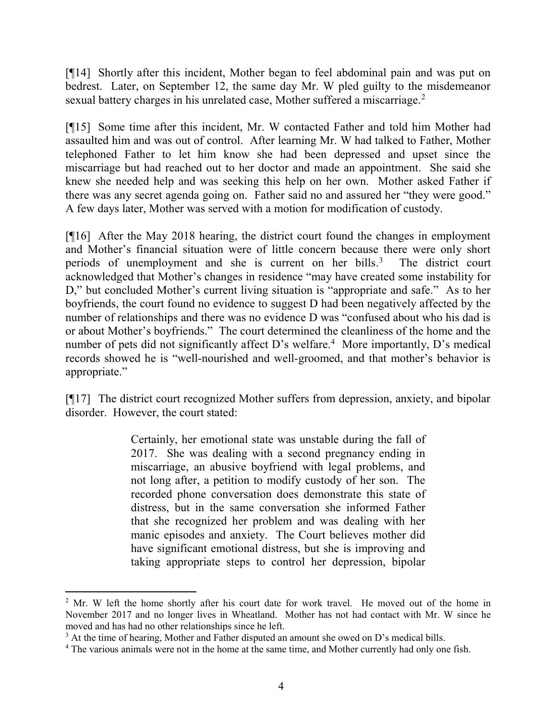[¶14] Shortly after this incident, Mother began to feel abdominal pain and was put on bedrest. Later, on September 12, the same day Mr. W pled guilty to the misdemeanor sexual battery charges in his unrelated case, Mother suffered a miscarriage.<sup>2</sup>

[¶15] Some time after this incident, Mr. W contacted Father and told him Mother had assaulted him and was out of control. After learning Mr. W had talked to Father, Mother telephoned Father to let him know she had been depressed and upset since the miscarriage but had reached out to her doctor and made an appointment. She said she knew she needed help and was seeking this help on her own. Mother asked Father if there was any secret agenda going on. Father said no and assured her "they were good." A few days later, Mother was served with a motion for modification of custody.

[¶16] After the May 2018 hearing, the district court found the changes in employment and Mother's financial situation were of little concern because there were only short periods of unemployment and she is current on her bills.<sup>3</sup> The district court acknowledged that Mother's changes in residence "may have created some instability for D," but concluded Mother's current living situation is "appropriate and safe." As to her boyfriends, the court found no evidence to suggest D had been negatively affected by the number of relationships and there was no evidence D was "confused about who his dad is or about Mother's boyfriends." The court determined the cleanliness of the home and the number of pets did not significantly affect D's welfare.<sup>4</sup> More importantly, D's medical records showed he is "well-nourished and well-groomed, and that mother's behavior is appropriate."

[¶17] The district court recognized Mother suffers from depression, anxiety, and bipolar disorder. However, the court stated:

> Certainly, her emotional state was unstable during the fall of 2017. She was dealing with a second pregnancy ending in miscarriage, an abusive boyfriend with legal problems, and not long after, a petition to modify custody of her son. The recorded phone conversation does demonstrate this state of distress, but in the same conversation she informed Father that she recognized her problem and was dealing with her manic episodes and anxiety. The Court believes mother did have significant emotional distress, but she is improving and taking appropriate steps to control her depression, bipolar

 $\overline{a}$ 

 $2^2$  Mr. W left the home shortly after his court date for work travel. He moved out of the home in November 2017 and no longer lives in Wheatland. Mother has not had contact with Mr. W since he moved and has had no other relationships since he left.

 $3$  At the time of hearing, Mother and Father disputed an amount she owed on D's medical bills.

<sup>&</sup>lt;sup>4</sup> The various animals were not in the home at the same time, and Mother currently had only one fish.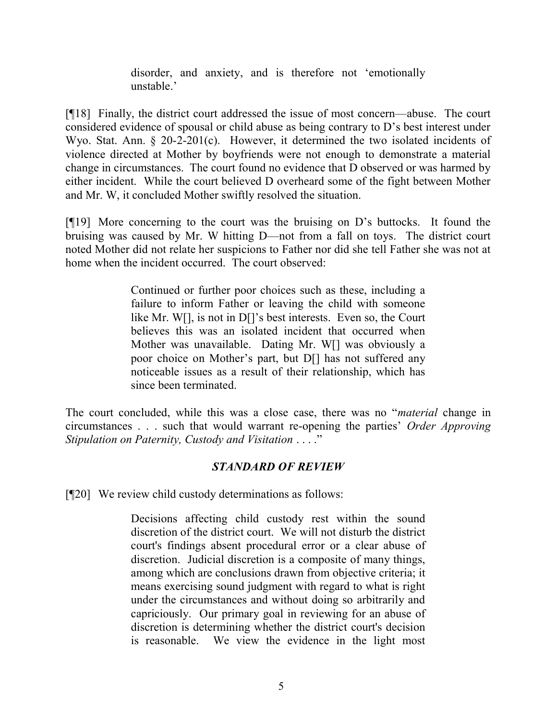disorder, and anxiety, and is therefore not 'emotionally unstable.'

[¶18] Finally, the district court addressed the issue of most concern—abuse. The court considered evidence of spousal or child abuse as being contrary to D's best interest under Wyo. Stat. Ann. § 20-2-201(c). However, it determined the two isolated incidents of violence directed at Mother by boyfriends were not enough to demonstrate a material change in circumstances. The court found no evidence that D observed or was harmed by either incident. While the court believed D overheard some of the fight between Mother and Mr. W, it concluded Mother swiftly resolved the situation.

[¶19] More concerning to the court was the bruising on D's buttocks. It found the bruising was caused by Mr. W hitting D—not from a fall on toys. The district court noted Mother did not relate her suspicions to Father nor did she tell Father she was not at home when the incident occurred. The court observed:

> Continued or further poor choices such as these, including a failure to inform Father or leaving the child with someone like Mr. W[], is not in D[]'s best interests. Even so, the Court believes this was an isolated incident that occurred when Mother was unavailable. Dating Mr. W[] was obviously a poor choice on Mother's part, but D[] has not suffered any noticeable issues as a result of their relationship, which has since been terminated.

The court concluded, while this was a close case, there was no "*material* change in circumstances . . . such that would warrant re-opening the parties' Order Approving Stipulation on Paternity, Custody and Visitation . . . ."

## STANDARD OF REVIEW

[¶20] We review child custody determinations as follows:

Decisions affecting child custody rest within the sound discretion of the district court. We will not disturb the district court's findings absent procedural error or a clear abuse of discretion. Judicial discretion is a composite of many things, among which are conclusions drawn from objective criteria; it means exercising sound judgment with regard to what is right under the circumstances and without doing so arbitrarily and capriciously. Our primary goal in reviewing for an abuse of discretion is determining whether the district court's decision is reasonable. We view the evidence in the light most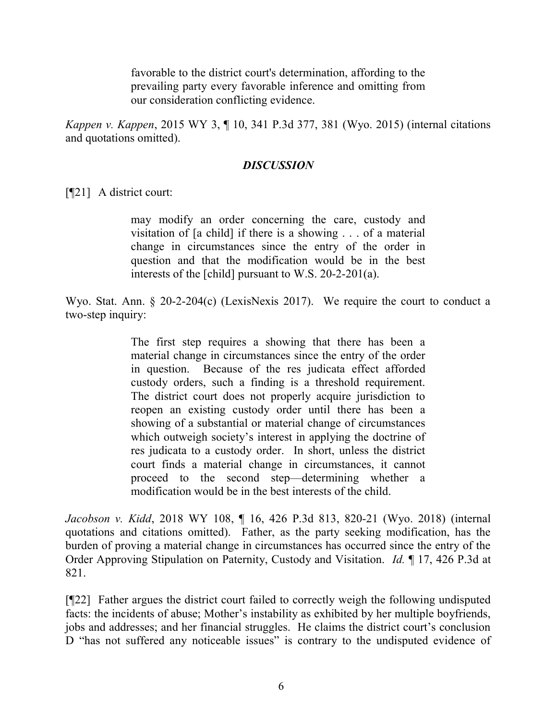favorable to the district court's determination, affording to the prevailing party every favorable inference and omitting from our consideration conflicting evidence.

Kappen v. Kappen, 2015 WY 3, ¶ 10, 341 P.3d 377, 381 (Wyo. 2015) (internal citations and quotations omitted).

### **DISCUSSION**

[**[21**] A district court:

may modify an order concerning the care, custody and visitation of [a child] if there is a showing . . . of a material change in circumstances since the entry of the order in question and that the modification would be in the best interests of the [child] pursuant to W.S. 20-2-201(a).

Wyo. Stat. Ann. § 20-2-204(c) (LexisNexis 2017). We require the court to conduct a two-step inquiry:

> The first step requires a showing that there has been a material change in circumstances since the entry of the order in question. Because of the res judicata effect afforded custody orders, such a finding is a threshold requirement. The district court does not properly acquire jurisdiction to reopen an existing custody order until there has been a showing of a substantial or material change of circumstances which outweigh society's interest in applying the doctrine of res judicata to a custody order. In short, unless the district court finds a material change in circumstances, it cannot proceed to the second step—determining whether a modification would be in the best interests of the child.

Jacobson v. Kidd, 2018 WY 108, ¶ 16, 426 P.3d 813, 820-21 (Wyo. 2018) (internal quotations and citations omitted). Father, as the party seeking modification, has the burden of proving a material change in circumstances has occurred since the entry of the Order Approving Stipulation on Paternity, Custody and Visitation. *Id.* 17, 426 P.3d at 821.

[¶22] Father argues the district court failed to correctly weigh the following undisputed facts: the incidents of abuse; Mother's instability as exhibited by her multiple boyfriends, jobs and addresses; and her financial struggles. He claims the district court's conclusion D "has not suffered any noticeable issues" is contrary to the undisputed evidence of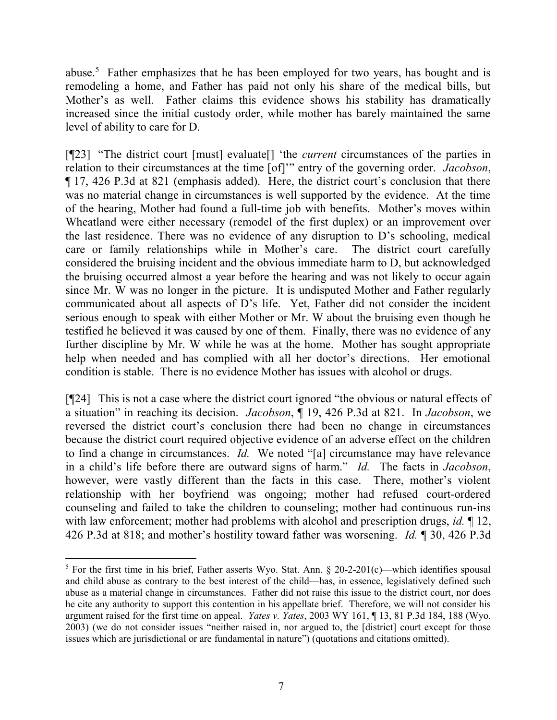abuse.<sup>5</sup> Father emphasizes that he has been employed for two years, has bought and is remodeling a home, and Father has paid not only his share of the medical bills, but Mother's as well. Father claims this evidence shows his stability has dramatically increased since the initial custody order, while mother has barely maintained the same level of ability to care for D.

[¶23] "The district court [must] evaluate[] 'the *current* circumstances of the parties in relation to their circumstances at the time [of]" entry of the governing order. Jacobson, ¶ 17, 426 P.3d at 821 (emphasis added). Here, the district court's conclusion that there was no material change in circumstances is well supported by the evidence. At the time of the hearing, Mother had found a full-time job with benefits. Mother's moves within Wheatland were either necessary (remodel of the first duplex) or an improvement over the last residence. There was no evidence of any disruption to D's schooling, medical care or family relationships while in Mother's care. The district court carefully considered the bruising incident and the obvious immediate harm to D, but acknowledged the bruising occurred almost a year before the hearing and was not likely to occur again since Mr. W was no longer in the picture. It is undisputed Mother and Father regularly communicated about all aspects of D's life. Yet, Father did not consider the incident serious enough to speak with either Mother or Mr. W about the bruising even though he testified he believed it was caused by one of them. Finally, there was no evidence of any further discipline by Mr. W while he was at the home. Mother has sought appropriate help when needed and has complied with all her doctor's directions. Her emotional condition is stable. There is no evidence Mother has issues with alcohol or drugs.

[¶24] This is not a case where the district court ignored "the obvious or natural effects of a situation" in reaching its decision. Jacobson, ¶ 19, 426 P.3d at 821. In Jacobson, we reversed the district court's conclusion there had been no change in circumstances because the district court required objective evidence of an adverse effect on the children to find a change in circumstances. Id. We noted "[a] circumstance may have relevance in a child's life before there are outward signs of harm." Id. The facts in Jacobson, however, were vastly different than the facts in this case. There, mother's violent relationship with her boyfriend was ongoing; mother had refused court-ordered counseling and failed to take the children to counseling; mother had continuous run-ins with law enforcement; mother had problems with alcohol and prescription drugs, *id.* 12, 426 P.3d at 818; and mother's hostility toward father was worsening. Id. 1 30, 426 P.3d

 $\overline{a}$ 

<sup>&</sup>lt;sup>5</sup> For the first time in his brief, Father asserts Wyo. Stat. Ann.  $\S$  20-2-201(c)—which identifies spousal and child abuse as contrary to the best interest of the child—has, in essence, legislatively defined such abuse as a material change in circumstances. Father did not raise this issue to the district court, nor does he cite any authority to support this contention in his appellate brief. Therefore, we will not consider his argument raised for the first time on appeal. *Yates v. Yates*, 2003 WY 161, 13, 81 P.3d 184, 188 (Wyo. 2003) (we do not consider issues "neither raised in, nor argued to, the [district] court except for those issues which are jurisdictional or are fundamental in nature") (quotations and citations omitted).